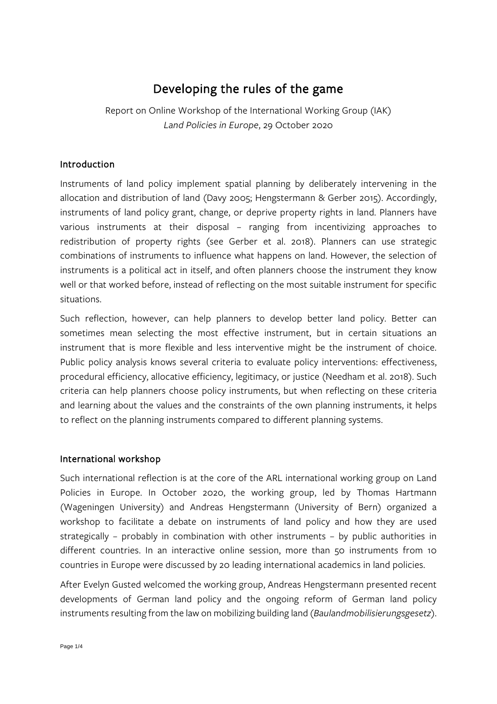# Developing the rules of the game

Report on Online Workshop of the International Working Group (IAK) *Land Policies in Europe*, 29 October 2020

#### Introduction

Instruments of land policy implement spatial planning by deliberately intervening in the allocation and distribution of land (Davy 2005; Hengstermann & Gerber 2015). Accordingly, instruments of land policy grant, change, or deprive property rights in land. Planners have various instruments at their disposal – ranging from incentivizing approaches to redistribution of property rights (see Gerber et al. 2018). Planners can use strategic combinations of instruments to influence what happens on land. However, the selection of instruments is a political act in itself, and often planners choose the instrument they know well or that worked before, instead of reflecting on the most suitable instrument for specific situations.

Such reflection, however, can help planners to develop better land policy. Better can sometimes mean selecting the most effective instrument, but in certain situations an instrument that is more flexible and less interventive might be the instrument of choice. Public policy analysis knows several criteria to evaluate policy interventions: effectiveness, procedural efficiency, allocative efficiency, legitimacy, or justice (Needham et al. 2018). Such criteria can help planners choose policy instruments, but when reflecting on these criteria and learning about the values and the constraints of the own planning instruments, it helps to reflect on the planning instruments compared to different planning systems.

#### International workshop

Such international reflection is at the core of the ARL international working group on Land Policies in Europe. In October 2020, the working group, led by Thomas Hartmann (Wageningen University) and Andreas Hengstermann (University of Bern) organized a workshop to facilitate a debate on instruments of land policy and how they are used strategically – probably in combination with other instruments – by public authorities in different countries. In an interactive online session, more than 50 instruments from 10 countries in Europe were discussed by 20 leading international academics in land policies.

After Evelyn Gusted welcomed the working group, Andreas Hengstermann presented recent developments of German land policy and the ongoing reform of German land policy instruments resulting from the law on mobilizing building land (*Baulandmobilisierungsgesetz*).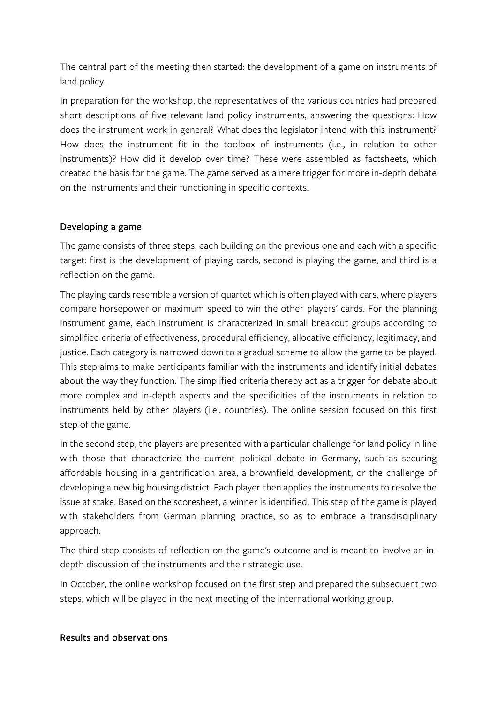The central part of the meeting then started: the development of a game on instruments of land policy.

In preparation for the workshop, the representatives of the various countries had prepared short descriptions of five relevant land policy instruments, answering the questions: How does the instrument work in general? What does the legislator intend with this instrument? How does the instrument fit in the toolbox of instruments (i.e., in relation to other instruments)? How did it develop over time? These were assembled as factsheets, which created the basis for the game. The game served as a mere trigger for more in-depth debate on the instruments and their functioning in specific contexts.

## Developing a game

The game consists of three steps, each building on the previous one and each with a specific target: first is the development of playing cards, second is playing the game, and third is a reflection on the game.

The playing cards resemble a version of quartet which is often played with cars, where players compare horsepower or maximum speed to win the other players' cards. For the planning instrument game, each instrument is characterized in small breakout groups according to simplified criteria of effectiveness, procedural efficiency, allocative efficiency, legitimacy, and justice. Each category is narrowed down to a gradual scheme to allow the game to be played. This step aims to make participants familiar with the instruments and identify initial debates about the way they function. The simplified criteria thereby act as a trigger for debate about more complex and in-depth aspects and the specificities of the instruments in relation to instruments held by other players (i.e., countries). The online session focused on this first step of the game.

In the second step, the players are presented with a particular challenge for land policy in line with those that characterize the current political debate in Germany, such as securing affordable housing in a gentrification area, a brownfield development, or the challenge of developing a new big housing district. Each player then applies the instruments to resolve the issue at stake. Based on the scoresheet, a winner is identified. This step of the game is played with stakeholders from German planning practice, so as to embrace a transdisciplinary approach.

The third step consists of reflection on the game's outcome and is meant to involve an indepth discussion of the instruments and their strategic use.

In October, the online workshop focused on the first step and prepared the subsequent two steps, which will be played in the next meeting of the international working group.

#### Results and observations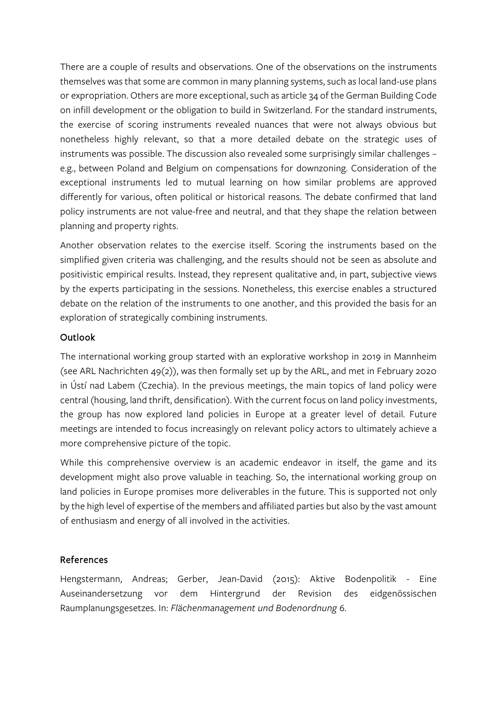There are a couple of results and observations. One of the observations on the instruments themselves was that some are common in many planning systems, such as local land-use plans or expropriation. Others are more exceptional, such as article 34 of the German Building Code on infill development or the obligation to build in Switzerland. For the standard instruments, the exercise of scoring instruments revealed nuances that were not always obvious but nonetheless highly relevant, so that a more detailed debate on the strategic uses of instruments was possible. The discussion also revealed some surprisingly similar challenges – e.g., between Poland and Belgium on compensations for downzoning. Consideration of the exceptional instruments led to mutual learning on how similar problems are approved differently for various, often political or historical reasons. The debate confirmed that land policy instruments are not value-free and neutral, and that they shape the relation between planning and property rights.

Another observation relates to the exercise itself. Scoring the instruments based on the simplified given criteria was challenging, and the results should not be seen as absolute and positivistic empirical results. Instead, they represent qualitative and, in part, subjective views by the experts participating in the sessions. Nonetheless, this exercise enables a structured debate on the relation of the instruments to one another, and this provided the basis for an exploration of strategically combining instruments.

#### Outlook

The international working group started with an explorative workshop in 2019 in Mannheim (see ARL Nachrichten 49(2)), was then formally set up by the ARL, and met in February 2020 in Ústí nad Labem (Czechia). In the previous meetings, the main topics of land policy were central (housing, land thrift, densification). With the current focus on land policy investments, the group has now explored land policies in Europe at a greater level of detail. Future meetings are intended to focus increasingly on relevant policy actors to ultimately achieve a more comprehensive picture of the topic.

While this comprehensive overview is an academic endeavor in itself, the game and its development might also prove valuable in teaching. So, the international working group on land policies in Europe promises more deliverables in the future. This is supported not only by the high level of expertise of the members and affiliated parties but also by the vast amount of enthusiasm and energy of all involved in the activities.

## References

Hengstermann, Andreas; Gerber, Jean-David (2015): Aktive Bodenpolitik - Eine Auseinandersetzung vor dem Hintergrund der Revision des eidgenössischen Raumplanungsgesetzes. In: *Flächenmanagement und Bodenordnung* 6.